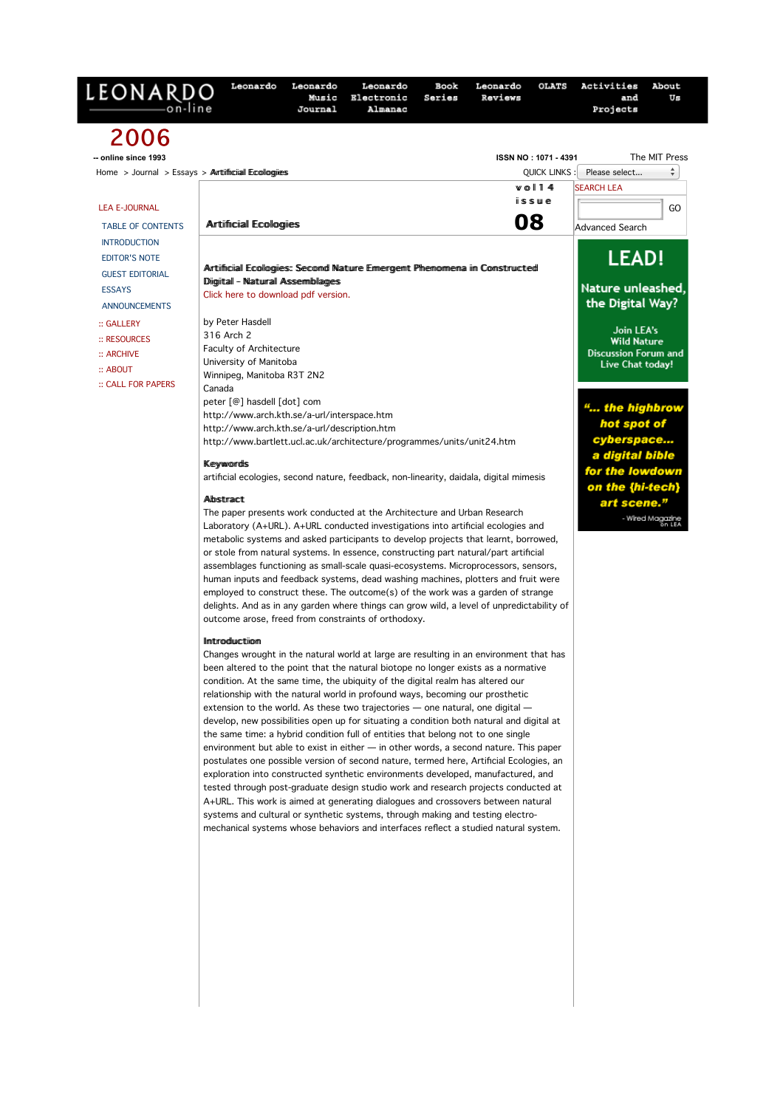| LEONARDO                         | Leonardo                                                                                                                                                                                                                                                                     | Leonardo<br>Music<br>Journal | Leonardo<br>Electronic<br>Almanac | Book<br>Series | Leonardo<br>Reviews | <b>OLATS</b> | Activities<br>and<br>Projects                                        | About<br>Us                |  |
|----------------------------------|------------------------------------------------------------------------------------------------------------------------------------------------------------------------------------------------------------------------------------------------------------------------------|------------------------------|-----------------------------------|----------------|---------------------|--------------|----------------------------------------------------------------------|----------------------------|--|
| 2006                             |                                                                                                                                                                                                                                                                              |                              |                                   |                |                     |              |                                                                      |                            |  |
| -- online since 1993             | The MIT Press<br>ISSN NO: 1071 - 4391                                                                                                                                                                                                                                        |                              |                                   |                |                     |              |                                                                      |                            |  |
|                                  | ÷<br>Please select<br>Home $>$ Journal $>$ Essays $>$ Arttifficial Ecologies<br><b>QUICK LINKS</b><br><b>SEARCH LEA</b>                                                                                                                                                      |                              |                                   |                |                     |              |                                                                      |                            |  |
|                                  | $w$ ol 14<br>$i$ sswe                                                                                                                                                                                                                                                        |                              |                                   |                |                     |              |                                                                      |                            |  |
| <b>LEA E-JOURNAL</b>             |                                                                                                                                                                                                                                                                              |                              |                                   |                |                     |              |                                                                      | GO                         |  |
| <b>TABLE OF CONTENTS</b>         | 08<br><b>Artifficial Ecologies</b>                                                                                                                                                                                                                                           |                              |                                   |                |                     |              | <b>Advanced Search</b>                                               |                            |  |
| <b>INTRODUCTION</b>              |                                                                                                                                                                                                                                                                              |                              |                                   |                |                     |              |                                                                      |                            |  |
| <b>EDITOR'S NOTE</b>             | Artiifiiciall Ecollogiies: Second Nature Eimergent Phenomena in Constructed                                                                                                                                                                                                  |                              |                                   |                |                     |              | <b>LEAD!</b>                                                         |                            |  |
| <b>GUEST EDITORIAL</b>           | Diigiitall - Naturall Assemblages                                                                                                                                                                                                                                            |                              |                                   |                |                     |              |                                                                      |                            |  |
| <b>ESSAYS</b>                    | Click here to download pdf version.                                                                                                                                                                                                                                          |                              |                                   |                |                     |              | Nature unleashed,                                                    |                            |  |
| <b>ANNOUNCEMENTS</b>             |                                                                                                                                                                                                                                                                              | the Digital Way?             |                                   |                |                     |              |                                                                      |                            |  |
| :: GALLERY                       | by Peter Hasdell<br>316 Arch 2                                                                                                                                                                                                                                               |                              |                                   |                |                     |              | Join LEA's                                                           |                            |  |
| :: RESOURCES                     | <b>Faculty of Architecture</b>                                                                                                                                                                                                                                               |                              |                                   |                |                     |              | <b>Wild Nature</b>                                                   |                            |  |
| :: ARCHIVE                       | University of Manitoba                                                                                                                                                                                                                                                       |                              |                                   |                |                     |              | <b>Discussion Forum and</b><br>Live Chat today!                      |                            |  |
| $::$ ABOUT<br>:: CALL FOR PAPERS | Winnipeg, Manitoba R3T 2N2                                                                                                                                                                                                                                                   |                              |                                   |                |                     |              |                                                                      |                            |  |
|                                  | Canada                                                                                                                                                                                                                                                                       |                              |                                   |                |                     |              |                                                                      |                            |  |
|                                  | peter [@] hasdell [dot] com<br>http://www.arch.kth.se/a-url/interspace.htm                                                                                                                                                                                                   |                              |                                   |                |                     |              | " the highbrow                                                       |                            |  |
|                                  | http://www.arch.kth.se/a-url/description.htm                                                                                                                                                                                                                                 |                              |                                   |                |                     |              | hot spot of                                                          |                            |  |
|                                  | http://www.bartlett.ucl.ac.uk/architecture/programmes/units/unit24.htm<br><b>Keywords</b><br>artificial ecologies, second nature, feedback, non-linearity, daidala, digital mimesis<br>Albstract<br>The paper presents work conducted at the Architecture and Urban Research |                              |                                   |                |                     |              | cyberspace<br>a digital bible<br>for the lowdown<br>on the {hi-tech} |                            |  |
|                                  |                                                                                                                                                                                                                                                                              |                              |                                   |                |                     |              |                                                                      |                            |  |
|                                  |                                                                                                                                                                                                                                                                              |                              |                                   |                |                     |              |                                                                      |                            |  |
|                                  |                                                                                                                                                                                                                                                                              |                              |                                   |                |                     |              | art scene."                                                          |                            |  |
|                                  |                                                                                                                                                                                                                                                                              |                              |                                   |                |                     |              |                                                                      |                            |  |
|                                  | Laboratory (A+URL). A+URL conducted investigations into artificial ecologies and                                                                                                                                                                                             |                              |                                   |                |                     |              |                                                                      | - Wired Magazine<br>An LEA |  |
|                                  | metabolic systems and asked participants to develop projects that learnt, borrowed,<br>or stole from natural systems. In essence, constructing part natural/part artificial                                                                                                  |                              |                                   |                |                     |              |                                                                      |                            |  |
|                                  | assemblages functioning as small-scale quasi-ecosystems. Microprocessors, sensors,                                                                                                                                                                                           |                              |                                   |                |                     |              |                                                                      |                            |  |
|                                  | human inputs and feedback systems, dead washing machines, plotters and fruit were                                                                                                                                                                                            |                              |                                   |                |                     |              |                                                                      |                            |  |
|                                  | employed to construct these. The outcome(s) of the work was a garden of strange                                                                                                                                                                                              |                              |                                   |                |                     |              |                                                                      |                            |  |
|                                  | delights. And as in any garden where things can grow wild, a level of unpredictability of<br>outcome arose, freed from constraints of orthodoxy.                                                                                                                             |                              |                                   |                |                     |              |                                                                      |                            |  |
|                                  |                                                                                                                                                                                                                                                                              |                              |                                   |                |                     |              |                                                                      |                            |  |
|                                  | <b>Ilmtroduction</b><br>Changes wrought in the natural world at large are resulting in an environment that has                                                                                                                                                               |                              |                                   |                |                     |              |                                                                      |                            |  |
|                                  | been altered to the point that the natural biotope no longer exists as a normative                                                                                                                                                                                           |                              |                                   |                |                     |              |                                                                      |                            |  |
|                                  | condition. At the same time, the ubiquity of the digital realm has altered our                                                                                                                                                                                               |                              |                                   |                |                     |              |                                                                      |                            |  |
|                                  | relationship with the natural world in profound ways, becoming our prosthetic                                                                                                                                                                                                |                              |                                   |                |                     |              |                                                                      |                            |  |
|                                  | extension to the world. As these two trajectories - one natural, one digital -                                                                                                                                                                                               |                              |                                   |                |                     |              |                                                                      |                            |  |
|                                  | develop, new possibilities open up for situating a condition both natural and digital at<br>the same time: a hybrid condition full of entities that belong not to one single                                                                                                 |                              |                                   |                |                     |              |                                                                      |                            |  |
|                                  | environment but able to exist in either $-$ in other words, a second nature. This paper                                                                                                                                                                                      |                              |                                   |                |                     |              |                                                                      |                            |  |
|                                  | postulates one possible version of second nature, termed here, Artificial Ecologies, an                                                                                                                                                                                      |                              |                                   |                |                     |              |                                                                      |                            |  |
|                                  | exploration into constructed synthetic environments developed, manufactured, and                                                                                                                                                                                             |                              |                                   |                |                     |              |                                                                      |                            |  |
|                                  | tested through post-graduate design studio work and research projects conducted at<br>A+URL. This work is aimed at generating dialogues and crossovers between natural                                                                                                       |                              |                                   |                |                     |              |                                                                      |                            |  |
|                                  | systems and cultural or synthetic systems, through making and testing electro-<br>mechanical systems whose behaviors and interfaces reflect a studied natural system.                                                                                                        |                              |                                   |                |                     |              |                                                                      |                            |  |
|                                  |                                                                                                                                                                                                                                                                              |                              |                                   |                |                     |              |                                                                      |                            |  |
|                                  |                                                                                                                                                                                                                                                                              |                              |                                   |                |                     |              |                                                                      |                            |  |
|                                  |                                                                                                                                                                                                                                                                              |                              |                                   |                |                     |              |                                                                      |                            |  |
|                                  |                                                                                                                                                                                                                                                                              |                              |                                   |                |                     |              |                                                                      |                            |  |
|                                  |                                                                                                                                                                                                                                                                              |                              |                                   |                |                     |              |                                                                      |                            |  |
|                                  |                                                                                                                                                                                                                                                                              |                              |                                   |                |                     |              |                                                                      |                            |  |
|                                  |                                                                                                                                                                                                                                                                              |                              |                                   |                |                     |              |                                                                      |                            |  |
|                                  |                                                                                                                                                                                                                                                                              |                              |                                   |                |                     |              |                                                                      |                            |  |
|                                  |                                                                                                                                                                                                                                                                              |                              |                                   |                |                     |              |                                                                      |                            |  |
|                                  |                                                                                                                                                                                                                                                                              |                              |                                   |                |                     |              |                                                                      |                            |  |
|                                  |                                                                                                                                                                                                                                                                              |                              |                                   |                |                     |              |                                                                      |                            |  |
|                                  |                                                                                                                                                                                                                                                                              |                              |                                   |                |                     |              |                                                                      |                            |  |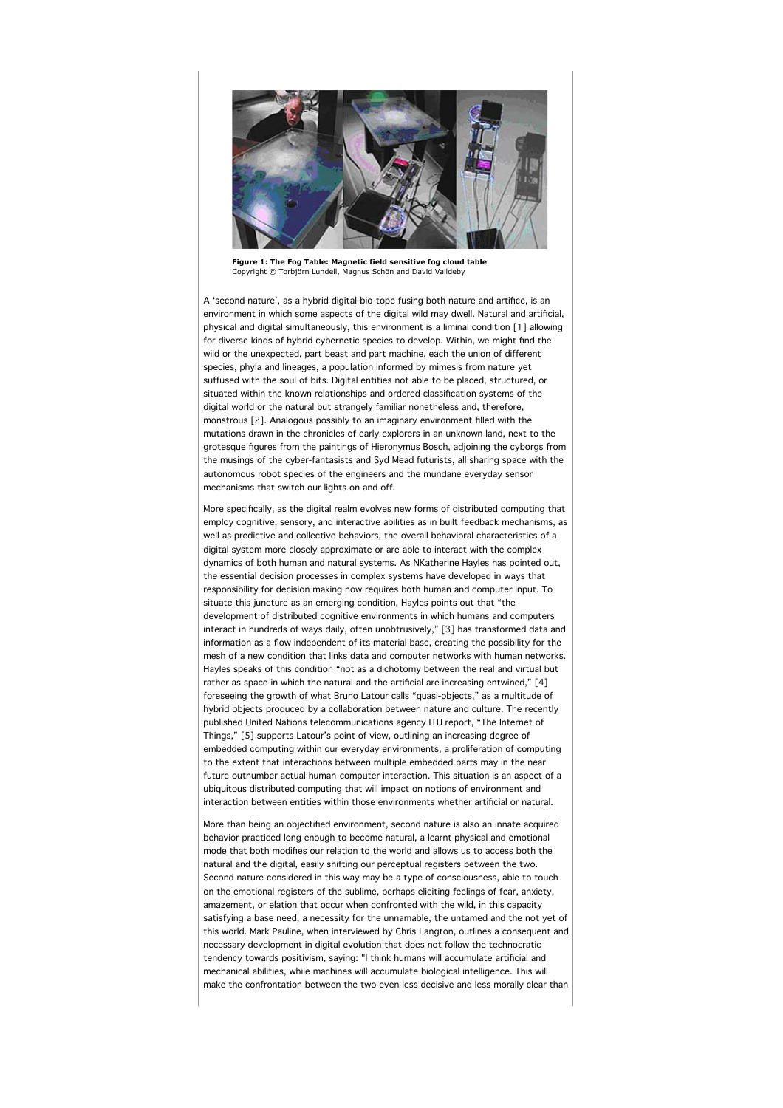

**Figure 1: The Fog Table: Magnetic field sensitive fog cloud table** Copyright © Torbjörn Lundell, Magnus Schön and David Valldeby

A 'second nature', as a hybrid digital-bio-tope fusing both nature and artifice, is an environment in which some aspects of the digital wild may dwell. Natural and artificial, physical and digital simultaneously, this environment is a liminal condition [1] allowing for diverse kinds of hybrid cybernetic species to develop. Within, we might find the wild or the unexpected, part beast and part machine, each the union of different species, phyla and lineages, a population informed by mimesis from nature yet suffused with the soul of bits. Digital entities not able to be placed, structured, or situated within the known relationships and ordered classification systems of the digital world or the natural but strangely familiar nonetheless and, therefore, monstrous [2]. Analogous possibly to an imaginary environment filled with the mutations drawn in the chronicles of early explorers in an unknown land, next to the grotesque figures from the paintings of Hieronymus Bosch, adjoining the cyborgs from the musings of the cyber-fantasists and Syd Mead futurists, all sharing space with the autonomous robot species of the engineers and the mundane everyday sensor mechanisms that switch our lights on and off.

More specifically, as the digital realm evolves new forms of distributed computing that employ cognitive, sensory, and interactive abilities as in built feedback mechanisms, as well as predictive and collective behaviors, the overall behavioral characteristics of a digital system more closely approximate or are able to interact with the complex dynamics of both human and natural systems. As NKatherine Hayles has pointed out, the essential decision processes in complex systems have developed in ways that responsibility for decision making now requires both human and computer input. To situate this juncture as an emerging condition, Hayles points out that "the development of distributed cognitive environments in which humans and computers interact in hundreds of ways daily, often unobtrusively," [3] has transformed data and information as a flow independent of its material base, creating the possibility for the mesh of a new condition that links data and computer networks with human networks. Hayles speaks of this condition "not as a dichotomy between the real and virtual but rather as space in which the natural and the artificial are increasing entwined," [4] foreseeing the growth of what Bruno Latour calls "quasi-objects," as a multitude of hybrid objects produced by a collaboration between nature and culture. The recently published United Nations telecommunications agency ITU report, "The Internet of Things," [5] supports Latour's point of view, outlining an increasing degree of embedded computing within our everyday environments, a proliferation of computing to the extent that interactions between multiple embedded parts may in the near future outnumber actual human-computer interaction. This situation is an aspect of a ubiquitous distributed computing that will impact on notions of environment and interaction between entities within those environments whether artificial or natural.

More than being an objectified environment, second nature is also an innate acquired behavior practiced long enough to become natural, a learnt physical and emotional mode that both modifies our relation to the world and allows us to access both the natural and the digital, easily shifting our perceptual registers between the two. Second nature considered in this way may be a type of consciousness, able to touch on the emotional registers of the sublime, perhaps eliciting feelings of fear, anxiety, amazement, or elation that occur when confronted with the wild, in this capacity satisfying a base need, a necessity for the unnamable, the untamed and the not yet of this world. Mark Pauline, when interviewed by Chris Langton, outlines a consequent and necessary development in digital evolution that does not follow the technocratic tendency towards positivism, saying: "I think humans will accumulate artificial and mechanical abilities, while machines will accumulate biological intelligence. This will make the confrontation between the two even less decisive and less morally clear than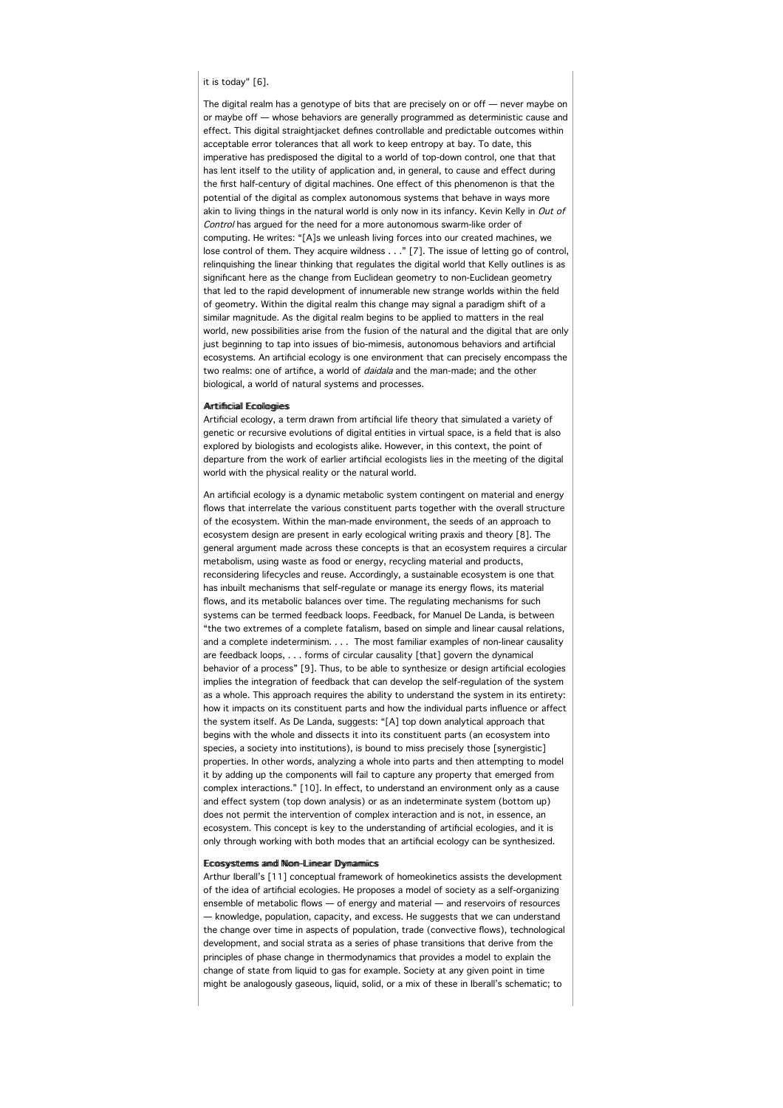# it is today" [6].

The digital realm has a genotype of bits that are precisely on or off — never maybe on or maybe off — whose behaviors are generally programmed as deterministic cause and effect. This digital straightjacket defines controllable and predictable outcomes within acceptable error tolerances that all work to keep entropy at bay. To date, this imperative has predisposed the digital to a world of top-down control, one that that has lent itself to the utility of application and, in general, to cause and effect during the first half-century of digital machines. One effect of this phenomenon is that the potential of the digital as complex autonomous systems that behave in ways more akin to living things in the natural world is only now in its infancy. Kevin Kelly in Out of Control has argued for the need for a more autonomous swarm-like order of computing. He writes: "[A]s we unleash living forces into our created machines, we lose control of them. They acquire wildness . . ." [7]. The issue of letting go of control, relinquishing the linear thinking that regulates the digital world that Kelly outlines is as significant here as the change from Euclidean geometry to non-Euclidean geometry that led to the rapid development of innumerable new strange worlds within the field of geometry. Within the digital realm this change may signal a paradigm shift of a similar magnitude. As the digital realm begins to be applied to matters in the real world, new possibilities arise from the fusion of the natural and the digital that are only just beginning to tap into issues of bio-mimesis, autonomous behaviors and artificial ecosystems. An artificial ecology is one environment that can precisely encompass the two realms: one of artifice, a world of daidala and the man-made; and the other biological, a world of natural systems and processes.

#### Arrtiifficiiall Ecollogiies

Artificial ecology, a term drawn from artificial life theory that simulated a variety of genetic or recursive evolutions of digital entities in virtual space, is a field that is also explored by biologists and ecologists alike. However, in this context, the point of departure from the work of earlier artificial ecologists lies in the meeting of the digital world with the physical reality or the natural world.

An artificial ecology is a dynamic metabolic system contingent on material and energy flows that interrelate the various constituent parts together with the overall structure of the ecosystem. Within the man-made environment, the seeds of an approach to ecosystem design are present in early ecological writing praxis and theory [8]. The general argument made across these concepts is that an ecosystem requires a circular metabolism, using waste as food or energy, recycling material and products, reconsidering lifecycles and reuse. Accordingly, a sustainable ecosystem is one that has inbuilt mechanisms that self-regulate or manage its energy flows, its material flows, and its metabolic balances over time. The regulating mechanisms for such systems can be termed feedback loops. Feedback, for Manuel De Landa, is between "the two extremes of a complete fatalism, based on simple and linear causal relations, and a complete indeterminism. . . . The most familiar examples of non-linear causality are feedback loops, . . . forms of circular causality [that] govern the dynamical behavior of a process" [9]. Thus, to be able to synthesize or design artificial ecologies implies the integration of feedback that can develop the self-regulation of the system as a whole. This approach requires the ability to understand the system in its entirety: how it impacts on its constituent parts and how the individual parts influence or affect the system itself. As De Landa, suggests: "[A] top down analytical approach that begins with the whole and dissects it into its constituent parts (an ecosystem into species, a society into institutions), is bound to miss precisely those [synergistic] properties. In other words, analyzing a whole into parts and then attempting to model it by adding up the components will fail to capture any property that emerged from complex interactions." [10]. In effect, to understand an environment only as a cause and effect system (top down analysis) or as an indeterminate system (bottom up) does not permit the intervention of complex interaction and is not, in essence, an ecosystem. This concept is key to the understanding of artificial ecologies, and it is only through working with both modes that an artificial ecology can be synthesized.

#### Ecosystems and Non-Liinear Dynamiics

Arthur Iberall's [11] conceptual framework of homeokinetics assists the development of the idea of artificial ecologies. He proposes a model of society as a self-organizing ensemble of metabolic flows — of energy and material — and reservoirs of resources — knowledge, population, capacity, and excess. He suggests that we can understand the change over time in aspects of population, trade (convective flows), technological development, and social strata as a series of phase transitions that derive from the principles of phase change in thermodynamics that provides a model to explain the change of state from liquid to gas for example. Society at any given point in time might be analogously gaseous, liquid, solid, or a mix of these in Iberall's schematic; to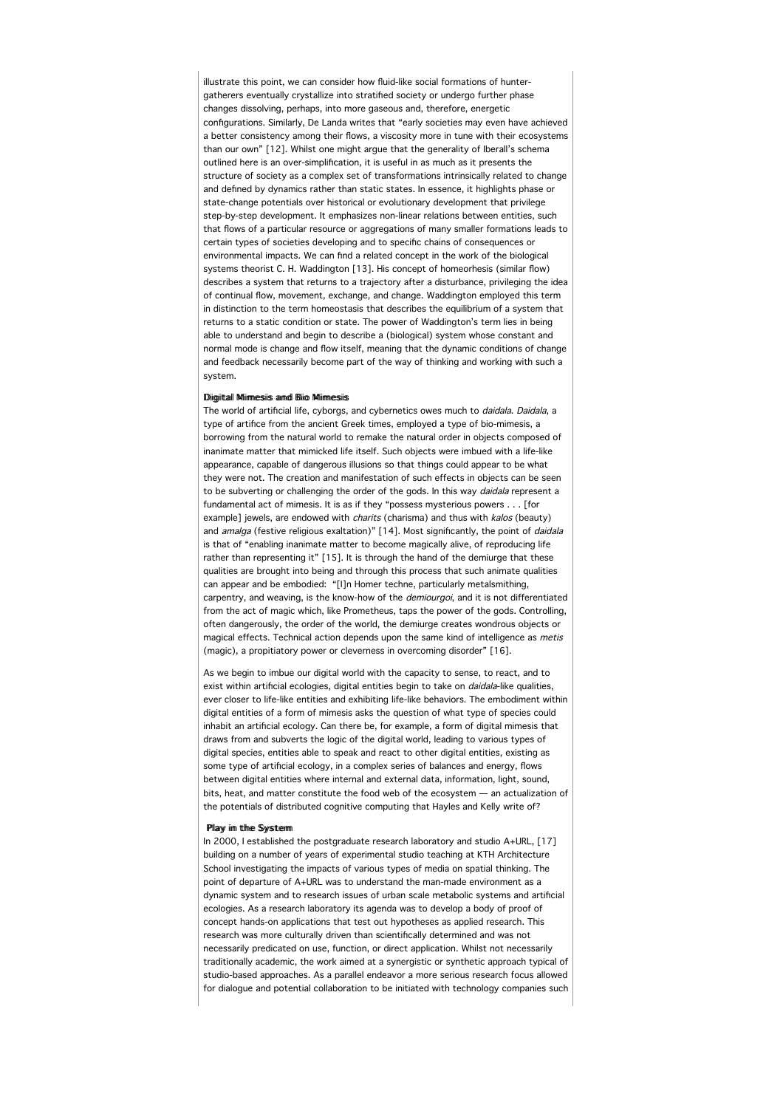illustrate this point, we can consider how fluid-like social formations of huntergatherers eventually crystallize into stratified society or undergo further phase changes dissolving, perhaps, into more gaseous and, therefore, energetic configurations. Similarly, De Landa writes that "early societies may even have achieved a better consistency among their flows, a viscosity more in tune with their ecosystems than our own" [12]. Whilst one might argue that the generality of Iberall's schema outlined here is an over-simplification, it is useful in as much as it presents the structure of society as a complex set of transformations intrinsically related to change and defined by dynamics rather than static states. In essence, it highlights phase or state-change potentials over historical or evolutionary development that privilege step-by-step development. It emphasizes non-linear relations between entities, such that flows of a particular resource or aggregations of many smaller formations leads to certain types of societies developing and to specific chains of consequences or environmental impacts. We can find a related concept in the work of the biological systems theorist C. H. Waddington [13]. His concept of homeorhesis (similar flow) describes a system that returns to a trajectory after a disturbance, privileging the idea of continual flow, movement, exchange, and change. Waddington employed this term in distinction to the term homeostasis that describes the equilibrium of a system that returns to a static condition or state. The power of Waddington's term lies in being able to understand and begin to describe a (biological) system whose constant and normal mode is change and flow itself, meaning that the dynamic conditions of change and feedback necessarily become part of the way of thinking and working with such a system.

# Diimiitall Miimmeesie annd Biio Miimmeesie

The world of artificial life, cyborgs, and cybernetics owes much to *daidala. Daidala*, a type of artifice from the ancient Greek times, employed a type of bio-mimesis, a borrowing from the natural world to remake the natural order in objects composed of inanimate matter that mimicked life itself. Such objects were imbued with a life-like appearance, capable of dangerous illusions so that things could appear to be what they were not. The creation and manifestation of such effects in objects can be seen to be subverting or challenging the order of the gods. In this way *daidala* represent a fundamental act of mimesis. It is as if they "possess mysterious powers . . . [for example] jewels, are endowed with *charits* (charisma) and thus with *kalos* (beauty) and amalga (festive religious exaltation)" [14]. Most significantly, the point of daidala is that of "enabling inanimate matter to become magically alive, of reproducing life rather than representing it" [15]. It is through the hand of the demiurge that these qualities are brought into being and through this process that such animate qualities can appear and be embodied: "[I]n Homer techne, particularly metalsmithing, carpentry, and weaving, is the know-how of the *demiourgoi*, and it is not differentiated from the act of magic which, like Prometheus, taps the power of the gods. Controlling, often dangerously, the order of the world, the demiurge creates wondrous objects or magical effects. Technical action depends upon the same kind of intelligence as metis (magic), a propitiatory power or cleverness in overcoming disorder" [16].

As we begin to imbue our digital world with the capacity to sense, to react, and to exist within artificial ecologies, digital entities begin to take on *daidala*-like qualities, ever closer to life-like entities and exhibiting life-like behaviors. The embodiment within digital entities of a form of mimesis asks the question of what type of species could inhabit an artificial ecology. Can there be, for example, a form of digital mimesis that draws from and subverts the logic of the digital world, leading to various types of digital species, entities able to speak and react to other digital entities, existing as some type of artificial ecology, in a complex series of balances and energy, flows between digital entities where internal and external data, information, light, sound, bits, heat, and matter constitute the food web of the ecosystem — an actualization of the potentials of distributed cognitive computing that Hayles and Kelly write of?

## Pllaw iim tthe Swstterm

In 2000, I established the postgraduate research laboratory and studio A+URL, [17] building on a number of years of experimental studio teaching at KTH Architecture School investigating the impacts of various types of media on spatial thinking. The point of departure of A+URL was to understand the man-made environment as a dynamic system and to research issues of urban scale metabolic systems and artificial ecologies. As a research laboratory its agenda was to develop a body of proof of concept hands-on applications that test out hypotheses as applied research. This research was more culturally driven than scientifically determined and was not necessarily predicated on use, function, or direct application. Whilst not necessarily traditionally academic, the work aimed at a synergistic or synthetic approach typical of studio-based approaches. As a parallel endeavor a more serious research focus allowed for dialogue and potential collaboration to be initiated with technology companies such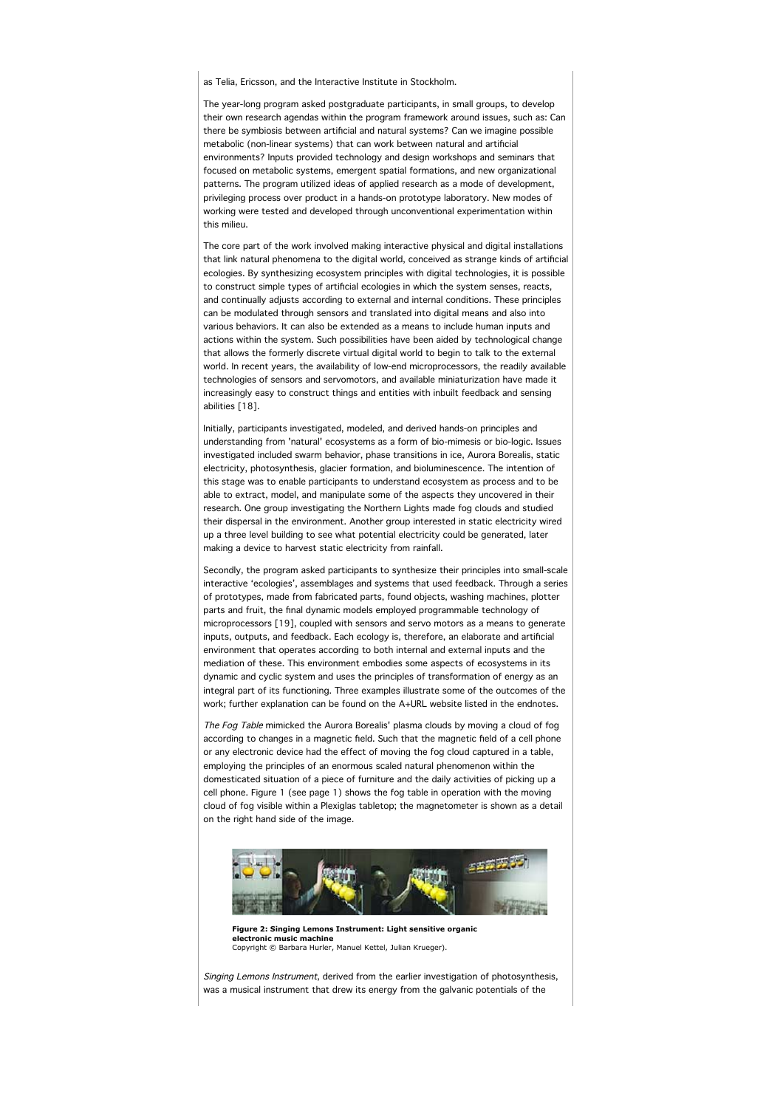as Telia, Ericsson, and the Interactive Institute in Stockholm.

The year-long program asked postgraduate participants, in small groups, to develop their own research agendas within the program framework around issues, such as: Can there be symbiosis between artificial and natural systems? Can we imagine possible metabolic (non-linear systems) that can work between natural and artificial environments? Inputs provided technology and design workshops and seminars that focused on metabolic systems, emergent spatial formations, and new organizational patterns. The program utilized ideas of applied research as a mode of development, privileging process over product in a hands-on prototype laboratory. New modes of working were tested and developed through unconventional experimentation within this milieu.

The core part of the work involved making interactive physical and digital installations that link natural phenomena to the digital world, conceived as strange kinds of artificial ecologies. By synthesizing ecosystem principles with digital technologies, it is possible to construct simple types of artificial ecologies in which the system senses, reacts, and continually adjusts according to external and internal conditions. These principles can be modulated through sensors and translated into digital means and also into various behaviors. It can also be extended as a means to include human inputs and actions within the system. Such possibilities have been aided by technological change that allows the formerly discrete virtual digital world to begin to talk to the external world. In recent years, the availability of low-end microprocessors, the readily available technologies of sensors and servomotors, and available miniaturization have made it increasingly easy to construct things and entities with inbuilt feedback and sensing abilities [18].

Initially, participants investigated, modeled, and derived hands-on principles and understanding from 'natural' ecosystems as a form of bio-mimesis or bio-logic. Issues investigated included swarm behavior, phase transitions in ice, Aurora Borealis, static electricity, photosynthesis, glacier formation, and bioluminescence. The intention of this stage was to enable participants to understand ecosystem as process and to be able to extract, model, and manipulate some of the aspects they uncovered in their research. One group investigating the Northern Lights made fog clouds and studied their dispersal in the environment. Another group interested in static electricity wired up a three level building to see what potential electricity could be generated, later making a device to harvest static electricity from rainfall.

Secondly, the program asked participants to synthesize their principles into small-scale interactive 'ecologies', assemblages and systems that used feedback. Through a series of prototypes, made from fabricated parts, found objects, washing machines, plotter parts and fruit, the final dynamic models employed programmable technology of microprocessors [19], coupled with sensors and servo motors as a means to generate inputs, outputs, and feedback. Each ecology is, therefore, an elaborate and artificial environment that operates according to both internal and external inputs and the mediation of these. This environment embodies some aspects of ecosystems in its dynamic and cyclic system and uses the principles of transformation of energy as an integral part of its functioning. Three examples illustrate some of the outcomes of the work; further explanation can be found on the A+URL website listed in the endnotes.

The Fog Table mimicked the Aurora Borealis' plasma clouds by moving a cloud of fog according to changes in a magnetic field. Such that the magnetic field of a cell phone or any electronic device had the effect of moving the fog cloud captured in a table, employing the principles of an enormous scaled natural phenomenon within the domesticated situation of a piece of furniture and the daily activities of picking up a cell phone. Figure 1 (see page 1) shows the fog table in operation with the moving cloud of fog visible within a Plexiglas tabletop; the magnetometer is shown as a detail on the right hand side of the image.



**Figure 2: Singing Lemons Instrument: Light sensitive organic electronic music machine** Copyright © Barbara Hurler, Manuel Kettel, Julian Krueger).

Singing Lemons Instrument, derived from the earlier investigation of photosynthesis was a musical instrument that drew its energy from the galvanic potentials of the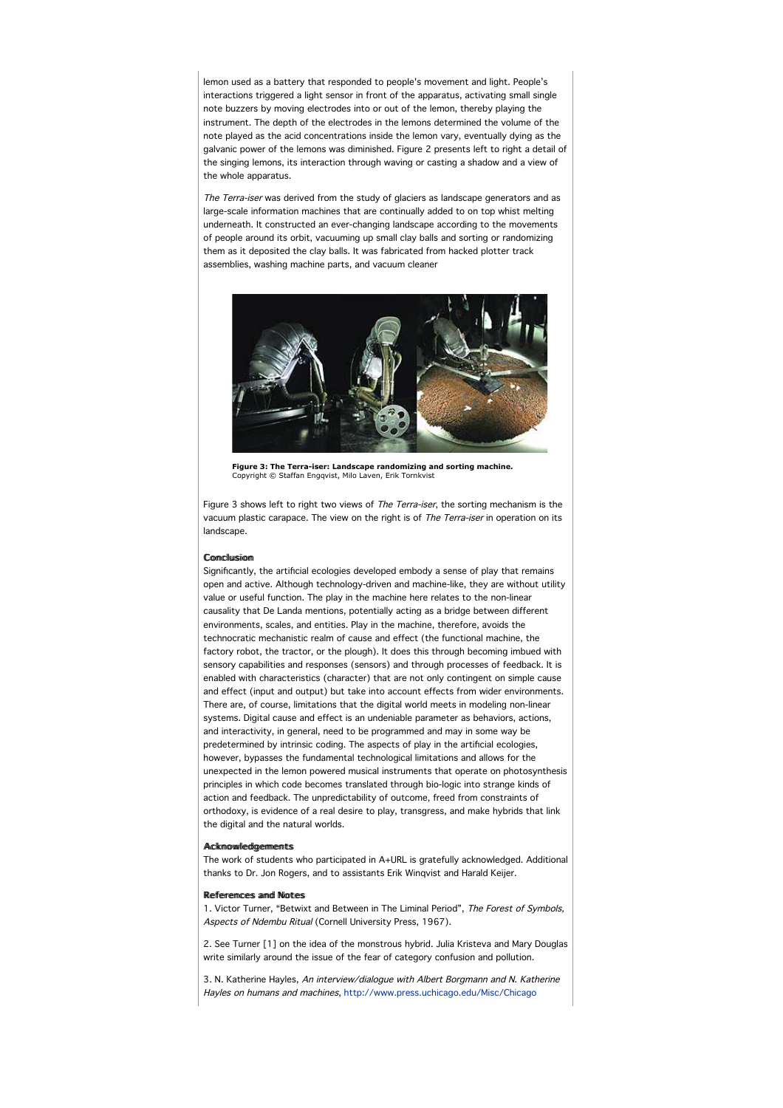lemon used as a battery that responded to people's movement and light. People's interactions triggered a light sensor in front of the apparatus, activating small single note buzzers by moving electrodes into or out of the lemon, thereby playing the instrument. The depth of the electrodes in the lemons determined the volume of the note played as the acid concentrations inside the lemon vary, eventually dying as the galvanic power of the lemons was diminished. Figure 2 presents left to right a detail of the singing lemons, its interaction through waving or casting a shadow and a view of the whole apparatus.

The Terra-iser was derived from the study of glaciers as landscape generators and as large-scale information machines that are continually added to on top whist melting underneath. It constructed an ever-changing landscape according to the movements of people around its orbit, vacuuming up small clay balls and sorting or randomizing them as it deposited the clay balls. It was fabricated from hacked plotter track assemblies, washing machine parts, and vacuum cleaner



**Figure 3: The Terra-iser: Landscape randomizing and sorting machine.** Copyright © Staffan Engqvist, Milo Laven, Erik Tornkvist

Figure 3 shows left to right two views of The Terra-iser, the sorting mechanism is the vacuum plastic carapace. The view on the right is of The Terra-iser in operation on its landscape.

### **Comclussion**

Significantly, the artificial ecologies developed embody a sense of play that remains open and active. Although technology-driven and machine-like, they are without utility value or useful function. The play in the machine here relates to the non-linear causality that De Landa mentions, potentially acting as a bridge between different environments, scales, and entities. Play in the machine, therefore, avoids the technocratic mechanistic realm of cause and effect (the functional machine, the factory robot, the tractor, or the plough). It does this through becoming imbued with sensory capabilities and responses (sensors) and through processes of feedback. It is enabled with characteristics (character) that are not only contingent on simple cause and effect (input and output) but take into account effects from wider environments. There are, of course, limitations that the digital world meets in modeling non-linear systems. Digital cause and effect is an undeniable parameter as behaviors, actions, and interactivity, in general, need to be programmed and may in some way be predetermined by intrinsic coding. The aspects of play in the artificial ecologies, however, bypasses the fundamental technological limitations and allows for the unexpected in the lemon powered musical instruments that operate on photosynthesis principles in which code becomes translated through bio-logic into strange kinds of action and feedback. The unpredictability of outcome, freed from constraints of orthodoxy, is evidence of a real desire to play, transgress, and make hybrids that link the digital and the natural worlds.

# Ackmowledgements

The work of students who participated in A+URL is gratefully acknowledged. Additional thanks to Dr. Jon Rogers, and to assistants Erik Winqvist and Harald Keijer.

#### References and Notes

1. Victor Turner, "Betwixt and Between in The Liminal Period", The Forest of Symbols, Aspects of Ndembu Ritual (Cornell University Press, 1967).

2. See Turner [1] on the idea of the monstrous hybrid. Julia Kristeva and Mary Douglas write similarly around the issue of the fear of category confusion and pollution.

3. N. Katherine Hayles, An interview/dialogue with Albert Borgmann and N. Katherine Hayles on humans and machines, http://www.press.uchicago.edu/Misc/Chicago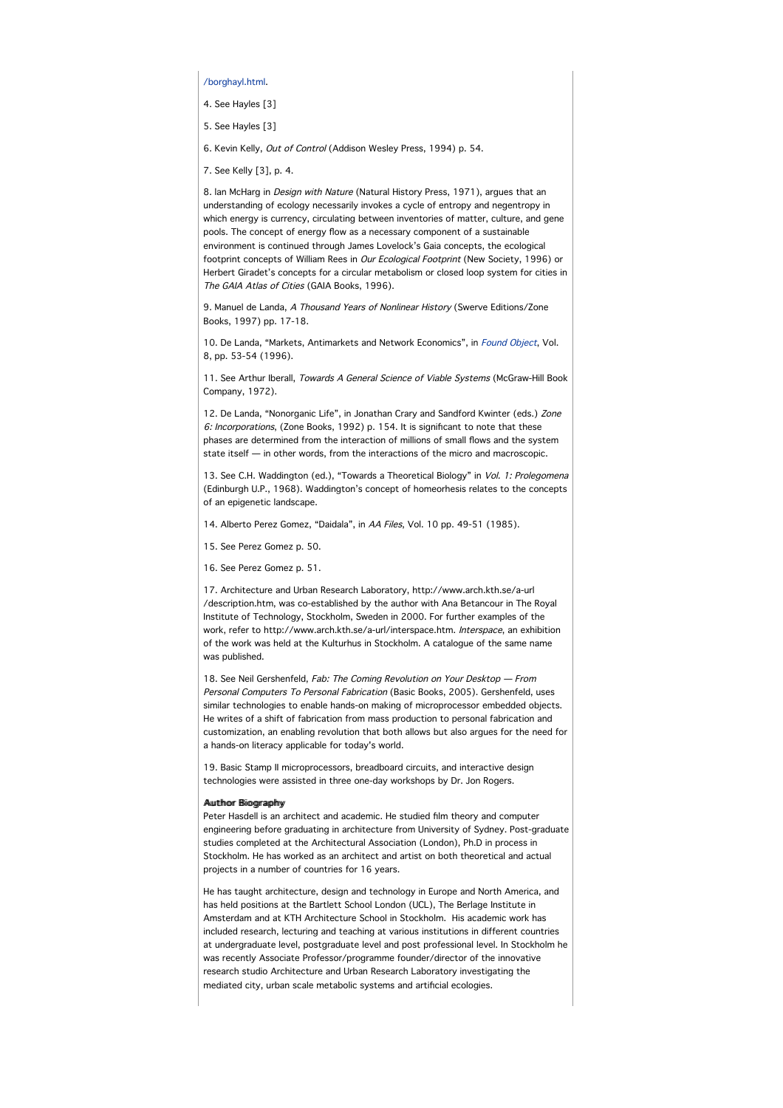/borghayl.html.

- 4. See Hayles [3]
- 5. See Hayles [3]

6. Kevin Kelly, Out of Control (Addison Wesley Press, 1994) p. 54.

7. See Kelly [3], p. 4.

8. Ian McHarg in *Design with Nature* (Natural History Press, 1971), argues that an understanding of ecology necessarily invokes a cycle of entropy and negentropy in which energy is currency, circulating between inventories of matter, culture, and gene pools. The concept of energy flow as a necessary component of a sustainable environment is continued through James Lovelock's Gaia concepts, the ecological footprint concepts of William Rees in Our Ecological Footprint (New Society, 1996) or Herbert Giradet's concepts for a circular metabolism or closed loop system for cities in The GAIA Atlas of Cities (GAIA Books, 1996).

9. Manuel de Landa, A Thousand Years of Nonlinear History (Swerve Editions/Zone Books, 1997) pp. 17-18.

10. De Landa, "Markets, Antimarkets and Network Economics", in Found Object, Vol. 8, pp. 53-54 (1996).

11. See Arthur Iberall, Towards A General Science of Viable Systems (McGraw-Hill Book Company, 1972).

12. De Landa, "Nonorganic Life", in Jonathan Crary and Sandford Kwinter (eds.) Zone 6: Incorporations, (Zone Books, 1992) p. 154. It is significant to note that these phases are determined from the interaction of millions of small flows and the system state itself — in other words, from the interactions of the micro and macroscopic.

13. See C.H. Waddington (ed.), "Towards a Theoretical Biology" in Vol. 1: Prolegomena (Edinburgh U.P., 1968). Waddington's concept of homeorhesis relates to the concepts of an epigenetic landscape.

14. Alberto Perez Gomez, "Daidala", in AA Files, Vol. 10 pp. 49-51 (1985).

15. See Perez Gomez p. 50.

16. See Perez Gomez p. 51.

17. Architecture and Urban Research Laboratory, http://www.arch.kth.se/a-url /description.htm, was co-established by the author with Ana Betancour in The Royal Institute of Technology, Stockholm, Sweden in 2000. For further examples of the work, refer to http://www.arch.kth.se/a-url/interspace.htm. Interspace, an exhibition of the work was held at the Kulturhus in Stockholm. A catalogue of the same name was published.

18. See Neil Gershenfeld, Fab: The Coming Revolution on Your Desktop - From Personal Computers To Personal Fabrication (Basic Books, 2005). Gershenfeld, uses similar technologies to enable hands-on making of microprocessor embedded objects. He writes of a shift of fabrication from mass production to personal fabrication and customization, an enabling revolution that both allows but also argues for the need for a hands-on literacy applicable for today's world.

19. Basic Stamp II microprocessors, breadboard circuits, and interactive design technologies were assisted in three one-day workshops by Dr. Jon Rogers.

# Auutthoor Rijoonramhy

Peter Hasdell is an architect and academic. He studied film theory and computer engineering before graduating in architecture from University of Sydney. Post-graduate studies completed at the Architectural Association (London), Ph.D in process in Stockholm. He has worked as an architect and artist on both theoretical and actual projects in a number of countries for 16 years.

He has taught architecture, design and technology in Europe and North America, and has held positions at the Bartlett School London (UCL), The Berlage Institute in Amsterdam and at KTH Architecture School in Stockholm. His academic work has included research, lecturing and teaching at various institutions in different countries at undergraduate level, postgraduate level and post professional level. In Stockholm he was recently Associate Professor/programme founder/director of the innovative research studio Architecture and Urban Research Laboratory investigating the mediated city, urban scale metabolic systems and artificial ecologies.